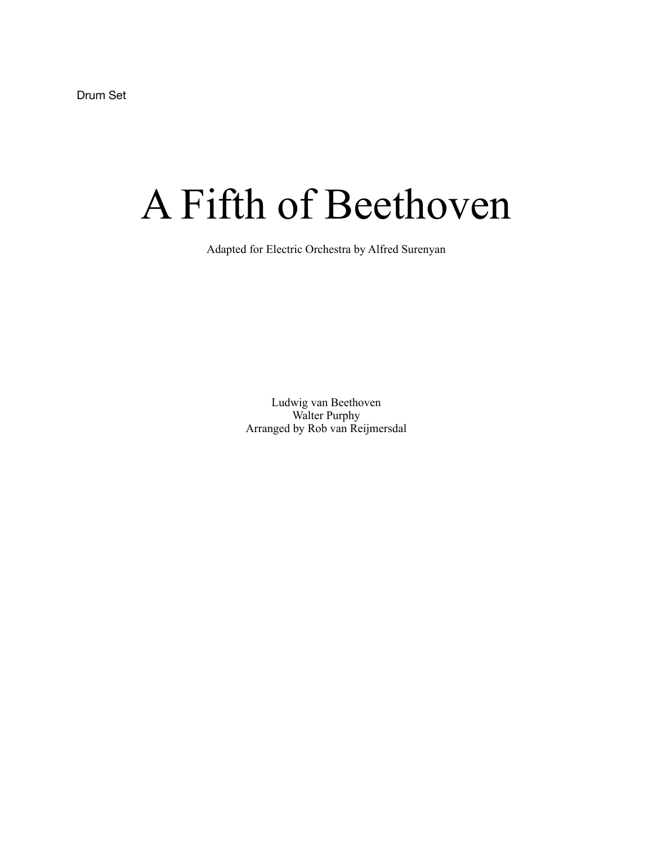Drum Set

## A Fifth of Beethoven

Adapted for Electric Orchestra by Alfred Surenyan

Ludwig van Beethoven Walter Purphy Arranged by Rob van Reijmersdal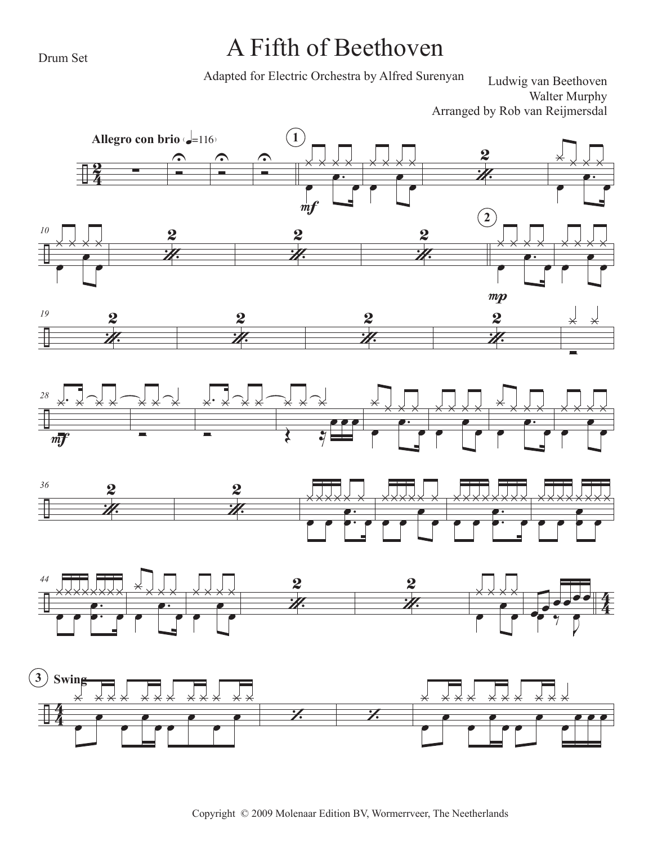Drum Set

## A Fifth of Beethoven

Adapted for Electric Orchestra by Alfred Surenyan

Ludwig van Beethoven Walter Murphy Arranged by Rob van Reijmersdal

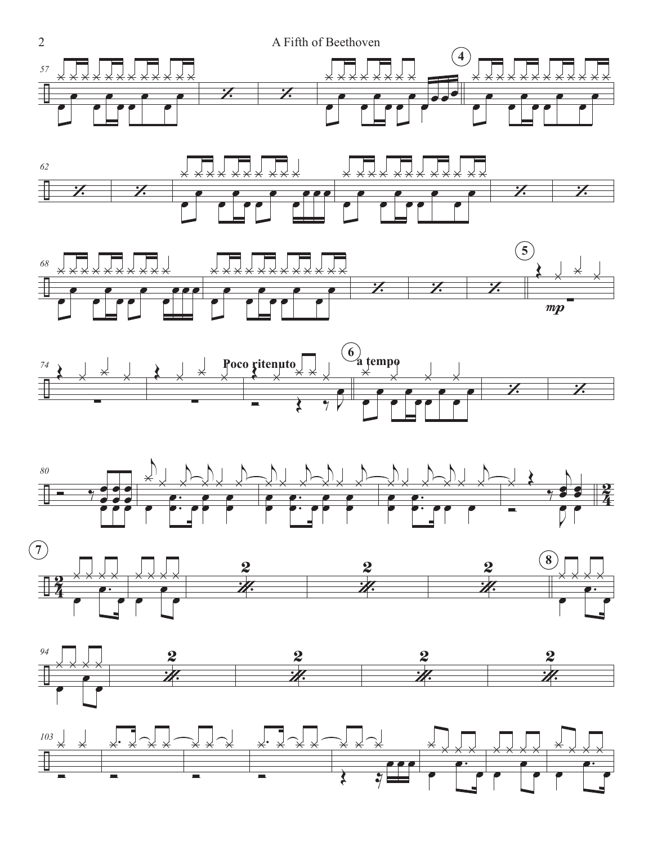